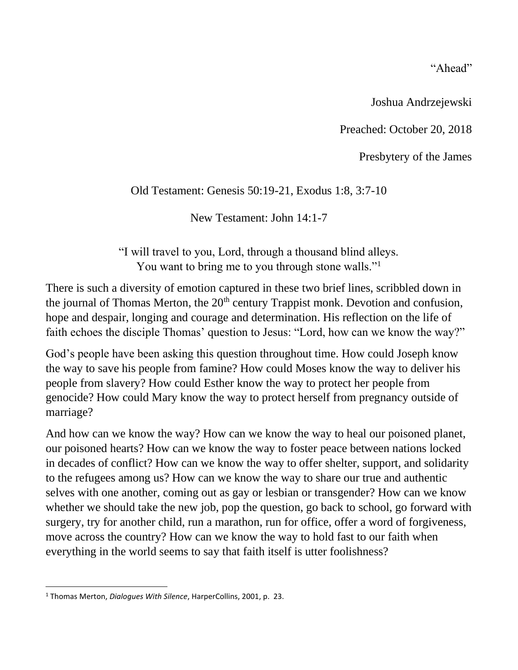"Ahead"

Joshua Andrzejewski

Preached: October 20, 2018

Presbytery of the James

# Old Testament: Genesis 50:19-21, Exodus 1:8, 3:7-10

New Testament: John 14:1-7

"I will travel to you, Lord, through a thousand blind alleys. You want to bring me to you through stone walls."<sup>1</sup>

There is such a diversity of emotion captured in these two brief lines, scribbled down in the journal of Thomas Merton, the  $20<sup>th</sup>$  century Trappist monk. Devotion and confusion, hope and despair, longing and courage and determination. His reflection on the life of faith echoes the disciple Thomas' question to Jesus: "Lord, how can we know the way?"

God's people have been asking this question throughout time. How could Joseph know the way to save his people from famine? How could Moses know the way to deliver his people from slavery? How could Esther know the way to protect her people from genocide? How could Mary know the way to protect herself from pregnancy outside of marriage?

And how can we know the way? How can we know the way to heal our poisoned planet, our poisoned hearts? How can we know the way to foster peace between nations locked in decades of conflict? How can we know the way to offer shelter, support, and solidarity to the refugees among us? How can we know the way to share our true and authentic selves with one another, coming out as gay or lesbian or transgender? How can we know whether we should take the new job, pop the question, go back to school, go forward with surgery, try for another child, run a marathon, run for office, offer a word of forgiveness, move across the country? How can we know the way to hold fast to our faith when everything in the world seems to say that faith itself is utter foolishness?

<sup>1</sup> Thomas Merton, *Dialogues With Silence*, HarperCollins, 2001, p. 23.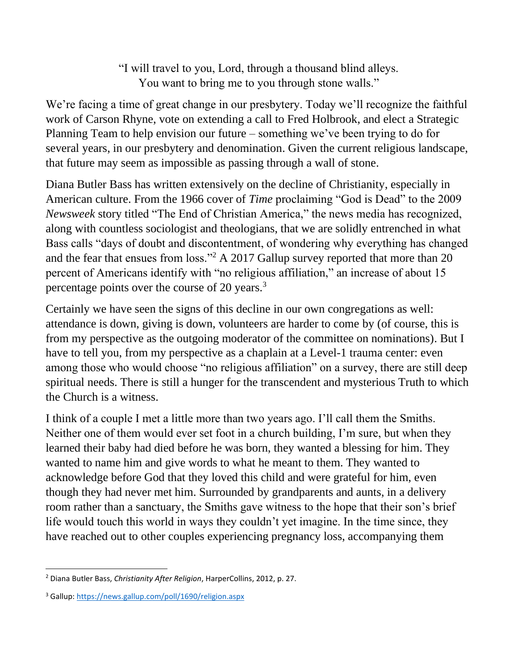"I will travel to you, Lord, through a thousand blind alleys. You want to bring me to you through stone walls."

We're facing a time of great change in our presbytery. Today we'll recognize the faithful work of Carson Rhyne, vote on extending a call to Fred Holbrook, and elect a Strategic Planning Team to help envision our future – something we've been trying to do for several years, in our presbytery and denomination. Given the current religious landscape, that future may seem as impossible as passing through a wall of stone.

Diana Butler Bass has written extensively on the decline of Christianity, especially in American culture. From the 1966 cover of *Time* proclaiming "God is Dead" to the 2009 *Newsweek* story titled "The End of Christian America," the news media has recognized, along with countless sociologist and theologians, that we are solidly entrenched in what Bass calls "days of doubt and discontentment, of wondering why everything has changed and the fear that ensues from loss."<sup>2</sup> A 2017 Gallup survey reported that more than 20 percent of Americans identify with "no religious affiliation," an increase of about 15 percentage points over the course of 20 years.<sup>3</sup>

Certainly we have seen the signs of this decline in our own congregations as well: attendance is down, giving is down, volunteers are harder to come by (of course, this is from my perspective as the outgoing moderator of the committee on nominations). But I have to tell you, from my perspective as a chaplain at a Level-1 trauma center: even among those who would choose "no religious affiliation" on a survey, there are still deep spiritual needs. There is still a hunger for the transcendent and mysterious Truth to which the Church is a witness.

I think of a couple I met a little more than two years ago. I'll call them the Smiths. Neither one of them would ever set foot in a church building, I'm sure, but when they learned their baby had died before he was born, they wanted a blessing for him. They wanted to name him and give words to what he meant to them. They wanted to acknowledge before God that they loved this child and were grateful for him, even though they had never met him. Surrounded by grandparents and aunts, in a delivery room rather than a sanctuary, the Smiths gave witness to the hope that their son's brief life would touch this world in ways they couldn't yet imagine. In the time since, they have reached out to other couples experiencing pregnancy loss, accompanying them

<sup>2</sup> Diana Butler Bass, *Christianity After Religion*, HarperCollins, 2012, p. 27.

<sup>3</sup> Gallup[: https://news.gallup.com/poll/1690/religion.aspx](https://news.gallup.com/poll/1690/religion.aspx)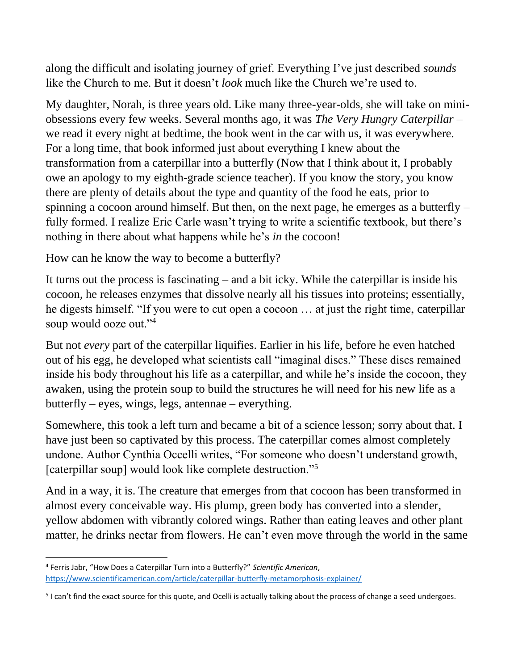along the difficult and isolating journey of grief. Everything I've just described *sounds* like the Church to me. But it doesn't *look* much like the Church we're used to.

My daughter, Norah, is three years old. Like many three-year-olds, she will take on miniobsessions every few weeks. Several months ago, it was *The Very Hungry Caterpillar* – we read it every night at bedtime, the book went in the car with us, it was everywhere. For a long time, that book informed just about everything I knew about the transformation from a caterpillar into a butterfly (Now that I think about it, I probably owe an apology to my eighth-grade science teacher). If you know the story, you know there are plenty of details about the type and quantity of the food he eats, prior to spinning a cocoon around himself. But then, on the next page, he emerges as a butterfly – fully formed. I realize Eric Carle wasn't trying to write a scientific textbook, but there's nothing in there about what happens while he's *in* the cocoon!

How can he know the way to become a butterfly?

It turns out the process is fascinating – and a bit icky. While the caterpillar is inside his cocoon, he releases enzymes that dissolve nearly all his tissues into proteins; essentially, he digests himself. "If you were to cut open a cocoon … at just the right time, caterpillar soup would ooze out."<sup>4</sup>

But not *every* part of the caterpillar liquifies. Earlier in his life, before he even hatched out of his egg, he developed what scientists call "imaginal discs." These discs remained inside his body throughout his life as a caterpillar, and while he's inside the cocoon, they awaken, using the protein soup to build the structures he will need for his new life as a butterfly – eyes, wings, legs, antennae – everything.

Somewhere, this took a left turn and became a bit of a science lesson; sorry about that. I have just been so captivated by this process. The caterpillar comes almost completely undone. Author Cynthia Occelli writes, "For someone who doesn't understand growth, [caterpillar soup] would look like complete destruction."<sup>5</sup>

And in a way, it is. The creature that emerges from that cocoon has been transformed in almost every conceivable way. His plump, green body has converted into a slender, yellow abdomen with vibrantly colored wings. Rather than eating leaves and other plant matter, he drinks nectar from flowers. He can't even move through the world in the same

<sup>4</sup> Ferris Jabr, "How Does a Caterpillar Turn into a Butterfly?" *Scientific American*, <https://www.scientificamerican.com/article/caterpillar-butterfly-metamorphosis-explainer/>

<sup>&</sup>lt;sup>5</sup> I can't find the exact source for this quote, and Ocelli is actually talking about the process of change a seed undergoes.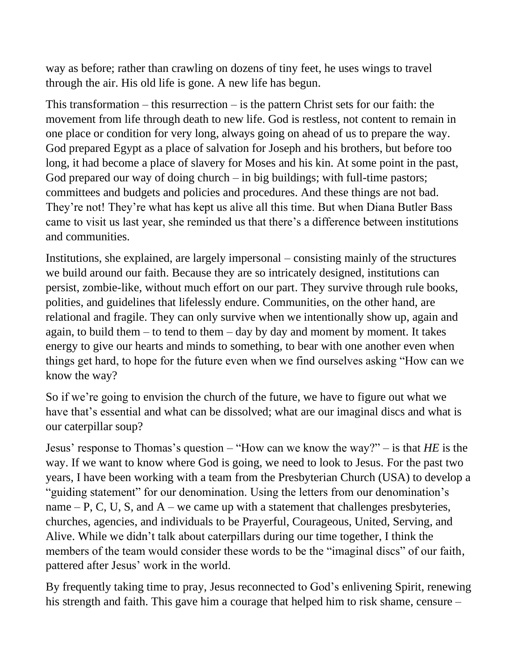way as before; rather than crawling on dozens of tiny feet, he uses wings to travel through the air. His old life is gone. A new life has begun.

This transformation – this resurrection – is the pattern Christ sets for our faith: the movement from life through death to new life. God is restless, not content to remain in one place or condition for very long, always going on ahead of us to prepare the way. God prepared Egypt as a place of salvation for Joseph and his brothers, but before too long, it had become a place of slavery for Moses and his kin. At some point in the past, God prepared our way of doing church  $-$  in big buildings; with full-time pastors; committees and budgets and policies and procedures. And these things are not bad. They're not! They're what has kept us alive all this time. But when Diana Butler Bass came to visit us last year, she reminded us that there's a difference between institutions and communities.

Institutions, she explained, are largely impersonal – consisting mainly of the structures we build around our faith. Because they are so intricately designed, institutions can persist, zombie-like, without much effort on our part. They survive through rule books, polities, and guidelines that lifelessly endure. Communities, on the other hand, are relational and fragile. They can only survive when we intentionally show up, again and again, to build them  $-$  to tend to them  $-$  day by day and moment by moment. It takes energy to give our hearts and minds to something, to bear with one another even when things get hard, to hope for the future even when we find ourselves asking "How can we know the way?

So if we're going to envision the church of the future, we have to figure out what we have that's essential and what can be dissolved; what are our imaginal discs and what is our caterpillar soup?

Jesus' response to Thomas's question – "How can we know the way?" – is that *HE* is the way. If we want to know where God is going, we need to look to Jesus. For the past two years, I have been working with a team from the Presbyterian Church (USA) to develop a "guiding statement" for our denomination. Using the letters from our denomination's name  $- P$ , C, U, S, and A – we came up with a statement that challenges presbyteries, churches, agencies, and individuals to be Prayerful, Courageous, United, Serving, and Alive. While we didn't talk about caterpillars during our time together, I think the members of the team would consider these words to be the "imaginal discs" of our faith, pattered after Jesus' work in the world.

By frequently taking time to pray, Jesus reconnected to God's enlivening Spirit, renewing his strength and faith. This gave him a courage that helped him to risk shame, censure –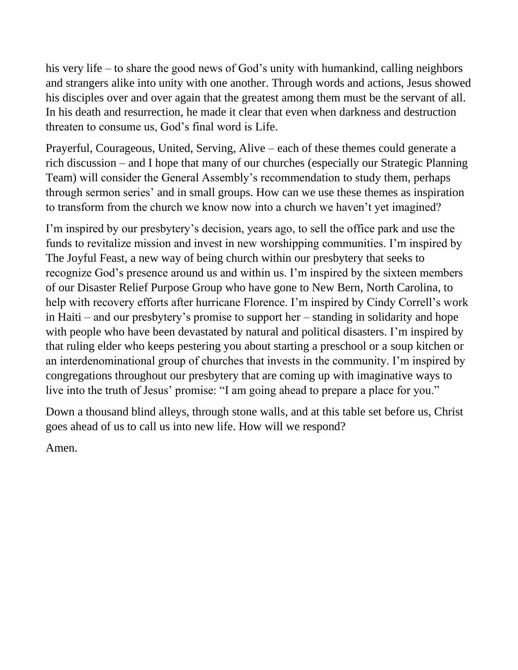his very life – to share the good news of God's unity with humankind, calling neighbors and strangers alike into unity with one another. Through words and actions, Jesus showed his disciples over and over again that the greatest among them must be the servant of all. In his death and resurrection, he made it clear that even when darkness and destruction threaten to consume us, God's final word is Life.

Prayerful, Courageous, United, Serving, Alive – each of these themes could generate a rich discussion – and I hope that many of our churches (especially our Strategic Planning Team) will consider the General Assembly's recommendation to study them, perhaps through sermon series' and in small groups. How can we use these themes as inspiration to transform from the church we know now into a church we haven't yet imagined?

I'm inspired by our presbytery's decision, years ago, to sell the office park and use the funds to revitalize mission and invest in new worshipping communities. I'm inspired by The Joyful Feast, a new way of being church within our presbytery that seeks to recognize God's presence around us and within us. I'm inspired by the sixteen members of our Disaster Relief Purpose Group who have gone to New Bern, North Carolina, to help with recovery efforts after hurricane Florence. I'm inspired by Cindy Correll's work in Haiti – and our presbytery's promise to support her – standing in solidarity and hope with people who have been devastated by natural and political disasters. I'm inspired by that ruling elder who keeps pestering you about starting a preschool or a soup kitchen or an interdenominational group of churches that invests in the community. I'm inspired by congregations throughout our presbytery that are coming up with imaginative ways to live into the truth of Jesus' promise: "I am going ahead to prepare a place for you."

Down a thousand blind alleys, through stone walls, and at this table set before us, Christ goes ahead of us to call us into new life. How will we respond?

Amen.